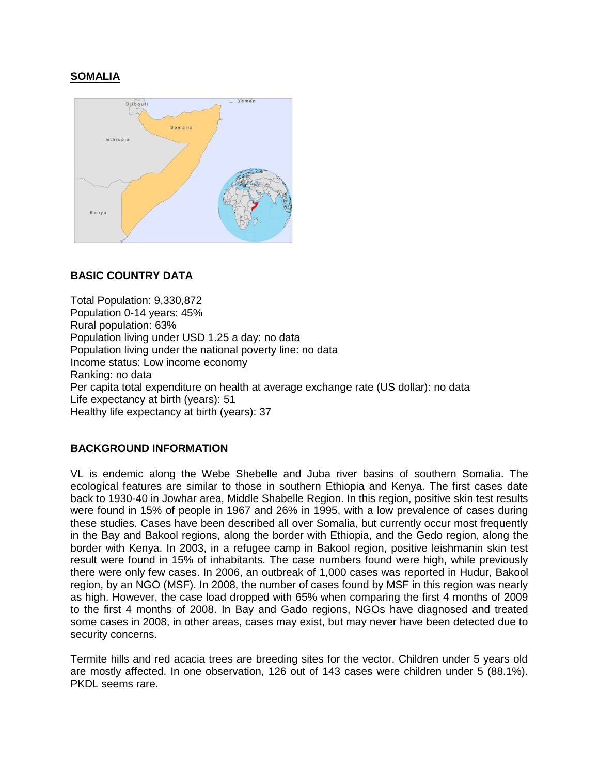# **SOMALIA**



## **BASIC COUNTRY DATA**

Total Population: 9,330,872 Population 0-14 years: 45% Rural population: 63% Population living under USD 1.25 a day: no data Population living under the national poverty line: no data Income status: Low income economy Ranking: no data Per capita total expenditure on health at average exchange rate (US dollar): no data Life expectancy at birth (years): 51 Healthy life expectancy at birth (years): 37

## **BACKGROUND INFORMATION**

VL is endemic along the Webe Shebelle and Juba river basins of southern Somalia. The ecological features are similar to those in southern Ethiopia and Kenya. The first cases date back to 1930-40 in Jowhar area, Middle Shabelle Region. In this region, positive skin test results were found in 15% of people in 1967 and 26% in 1995, with a low prevalence of cases during these studies. Cases have been described all over Somalia, but currently occur most frequently in the Bay and Bakool regions, along the border with Ethiopia, and the Gedo region, along the border with Kenya. In 2003, in a refugee camp in Bakool region, positive leishmanin skin test result were found in 15% of inhabitants. The case numbers found were high, while previously there were only few cases. In 2006, an outbreak of 1,000 cases was reported in Hudur, Bakool region, by an NGO (MSF). In 2008, the number of cases found by MSF in this region was nearly as high. However, the case load dropped with 65% when comparing the first 4 months of 2009 to the first 4 months of 2008. In Bay and Gado regions, NGOs have diagnosed and treated some cases in 2008, in other areas, cases may exist, but may never have been detected due to security concerns.

Termite hills and red acacia trees are breeding sites for the vector. Children under 5 years old are mostly affected. In one observation, 126 out of 143 cases were children under 5 (88.1%). PKDL seems rare.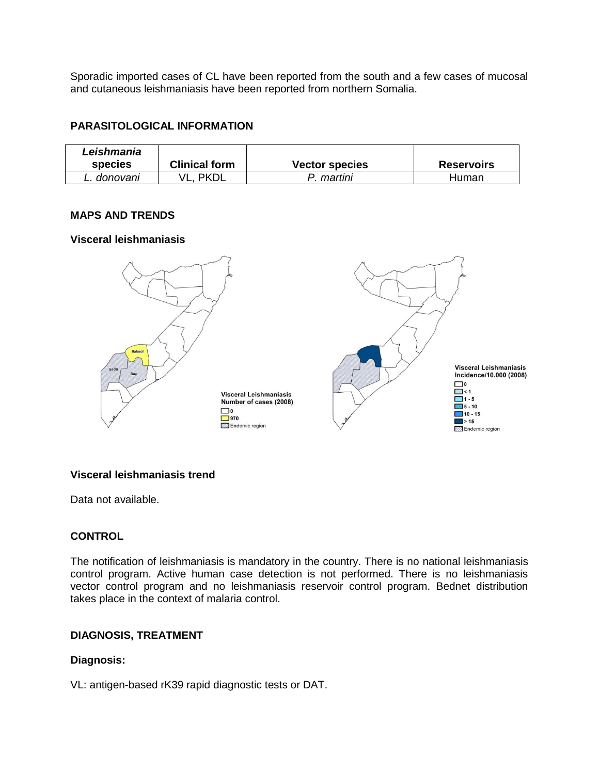Sporadic imported cases of CL have been reported from the south and a few cases of mucosal and cutaneous leishmaniasis have been reported from northern Somalia.

#### **PARASITOLOGICAL INFORMATION**

| Leishmania<br>species | <b>Clinical form</b> | <b>Vector species</b> | <b>Reservoirs</b> |
|-----------------------|----------------------|-----------------------|-------------------|
| L. donovani           | PKDL                 | martini               | Human             |

#### **MAPS AND TRENDS**

#### **Visceral leishmaniasis**



## **Visceral leishmaniasis trend**

Data not available.

#### **CONTROL**

The notification of leishmaniasis is mandatory in the country. There is no national leishmaniasis control program. Active human case detection is not performed. There is no leishmaniasis vector control program and no leishmaniasis reservoir control program. Bednet distribution takes place in the context of malaria control.

## **DIAGNOSIS, TREATMENT**

#### **Diagnosis:**

VL: antigen-based rK39 rapid diagnostic tests or DAT.